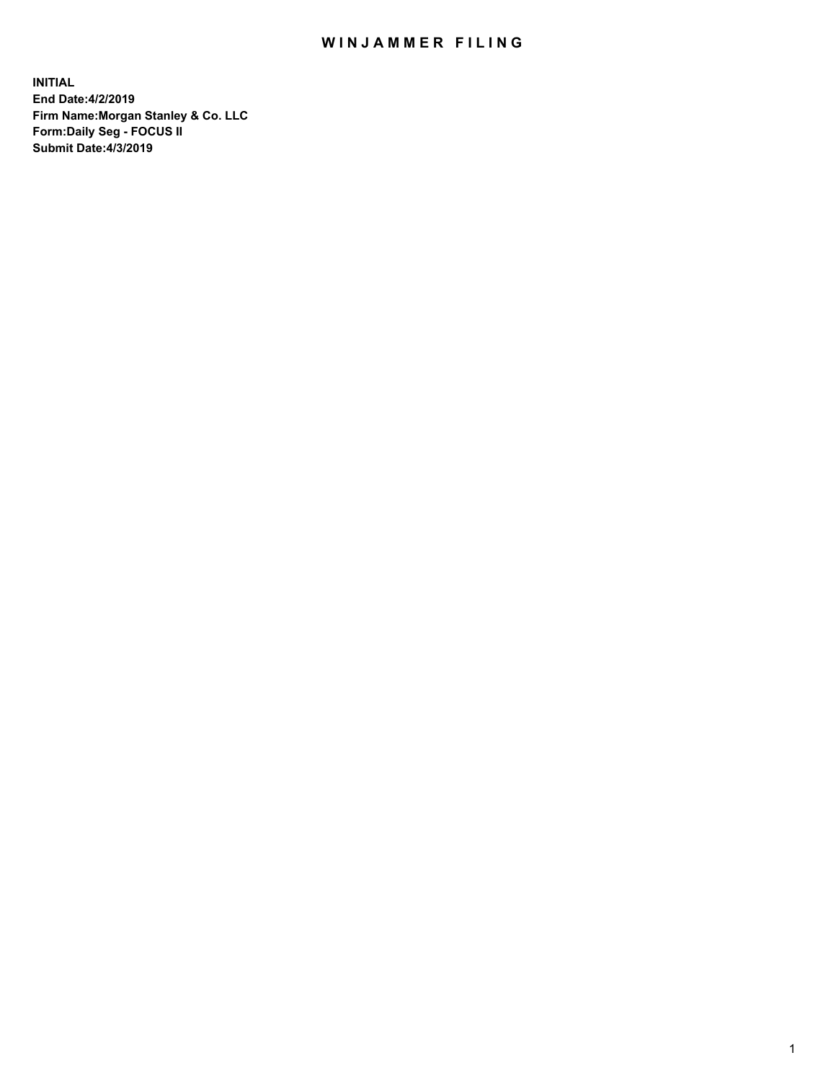## WIN JAMMER FILING

**INITIAL End Date:4/2/2019 Firm Name:Morgan Stanley & Co. LLC Form:Daily Seg - FOCUS II Submit Date:4/3/2019**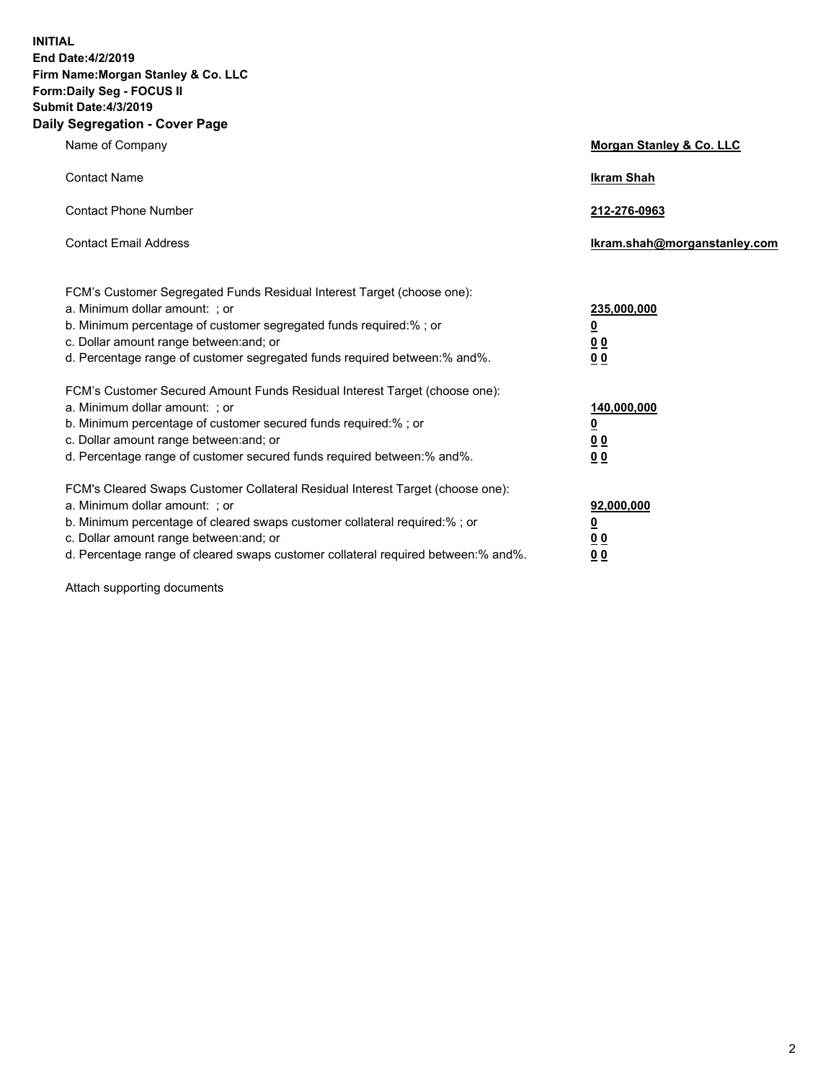**INITIAL End Date:4/2/2019 Firm Name:Morgan Stanley & Co. LLC Form:Daily Seg - FOCUS II Submit Date:4/3/2019 Daily Segregation - Cover Page**

| Name of Company                                                                                                                                                                                                                                                                                                                | Morgan Stanley & Co. LLC                                    |
|--------------------------------------------------------------------------------------------------------------------------------------------------------------------------------------------------------------------------------------------------------------------------------------------------------------------------------|-------------------------------------------------------------|
| <b>Contact Name</b>                                                                                                                                                                                                                                                                                                            | <b>Ikram Shah</b>                                           |
| <b>Contact Phone Number</b>                                                                                                                                                                                                                                                                                                    | 212-276-0963                                                |
| <b>Contact Email Address</b>                                                                                                                                                                                                                                                                                                   | Ikram.shah@morganstanley.com                                |
| FCM's Customer Segregated Funds Residual Interest Target (choose one):<br>a. Minimum dollar amount: ; or<br>b. Minimum percentage of customer segregated funds required:% ; or<br>c. Dollar amount range between: and; or<br>d. Percentage range of customer segregated funds required between:% and%.                         | 235,000,000<br><u>0</u><br>0 <sub>0</sub><br>00             |
| FCM's Customer Secured Amount Funds Residual Interest Target (choose one):<br>a. Minimum dollar amount: ; or<br>b. Minimum percentage of customer secured funds required:% ; or<br>c. Dollar amount range between: and; or<br>d. Percentage range of customer secured funds required between:% and%.                           | 140,000,000<br><u>0</u><br>0 <sub>0</sub><br>0 <sub>0</sub> |
| FCM's Cleared Swaps Customer Collateral Residual Interest Target (choose one):<br>a. Minimum dollar amount: ; or<br>b. Minimum percentage of cleared swaps customer collateral required:% ; or<br>c. Dollar amount range between: and; or<br>d. Percentage range of cleared swaps customer collateral required between:% and%. | 92,000,000<br><u>0</u><br>0 Q<br>0 <sub>0</sub>             |

Attach supporting documents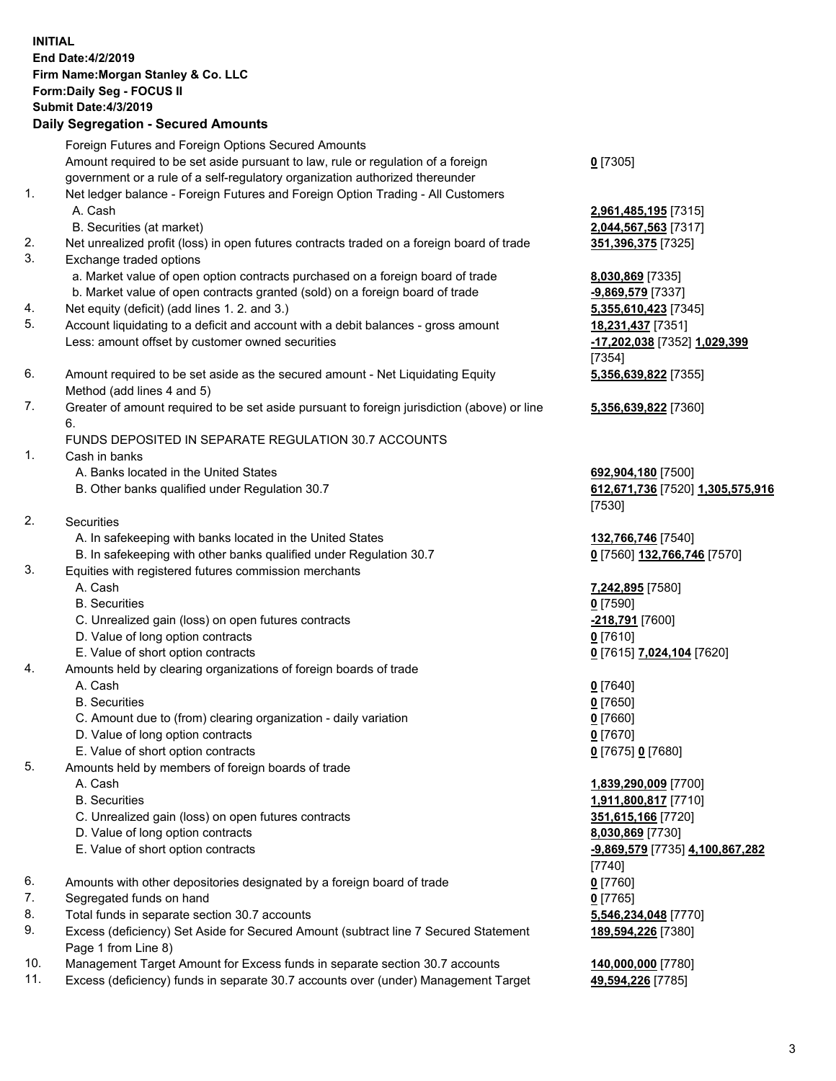|          | <b>INITIAL</b><br>End Date: 4/2/2019<br>Firm Name: Morgan Stanley & Co. LLC<br>Form: Daily Seg - FOCUS II<br><b>Submit Date: 4/3/2019</b><br><b>Daily Segregation - Secured Amounts</b> |                                                   |
|----------|-----------------------------------------------------------------------------------------------------------------------------------------------------------------------------------------|---------------------------------------------------|
|          | Foreign Futures and Foreign Options Secured Amounts                                                                                                                                     |                                                   |
|          | Amount required to be set aside pursuant to law, rule or regulation of a foreign                                                                                                        | $0$ [7305]                                        |
| 1.       | government or a rule of a self-regulatory organization authorized thereunder<br>Net ledger balance - Foreign Futures and Foreign Option Trading - All Customers                         |                                                   |
|          | A. Cash                                                                                                                                                                                 | 2,961,485,195 [7315]                              |
|          | B. Securities (at market)                                                                                                                                                               | 2,044,567,563 [7317]                              |
| 2.       | Net unrealized profit (loss) in open futures contracts traded on a foreign board of trade                                                                                               | 351,396,375 [7325]                                |
| 3.       | Exchange traded options                                                                                                                                                                 |                                                   |
|          | a. Market value of open option contracts purchased on a foreign board of trade                                                                                                          | 8,030,869 [7335]                                  |
|          | b. Market value of open contracts granted (sold) on a foreign board of trade                                                                                                            | $-9,869,579$ [7337]                               |
| 4.<br>5. | Net equity (deficit) (add lines 1.2. and 3.)                                                                                                                                            | 5,355,610,423 [7345]                              |
|          | Account liquidating to a deficit and account with a debit balances - gross amount<br>Less: amount offset by customer owned securities                                                   | 18,231,437 [7351]<br>-17,202,038 [7352] 1,029,399 |
|          |                                                                                                                                                                                         | [7354]                                            |
| 6.       | Amount required to be set aside as the secured amount - Net Liquidating Equity                                                                                                          | 5,356,639,822 [7355]                              |
|          | Method (add lines 4 and 5)                                                                                                                                                              |                                                   |
| 7.       | Greater of amount required to be set aside pursuant to foreign jurisdiction (above) or line                                                                                             | 5,356,639,822 [7360]                              |
|          | 6.                                                                                                                                                                                      |                                                   |
|          | FUNDS DEPOSITED IN SEPARATE REGULATION 30.7 ACCOUNTS                                                                                                                                    |                                                   |
| 1.       | Cash in banks<br>A. Banks located in the United States                                                                                                                                  | 692,904,180 [7500]                                |
|          | B. Other banks qualified under Regulation 30.7                                                                                                                                          | 612,671,736 [7520] 1,305,575,916                  |
|          |                                                                                                                                                                                         | [7530]                                            |
| 2.       | Securities                                                                                                                                                                              |                                                   |
|          | A. In safekeeping with banks located in the United States                                                                                                                               | 132,766,746 [7540]                                |
|          | B. In safekeeping with other banks qualified under Regulation 30.7                                                                                                                      | 0 [7560] 132,766,746 [7570]                       |
| 3.       | Equities with registered futures commission merchants                                                                                                                                   |                                                   |
|          | A. Cash<br><b>B.</b> Securities                                                                                                                                                         | 7,242,895 [7580]<br>$0$ [7590]                    |
|          | C. Unrealized gain (loss) on open futures contracts                                                                                                                                     | -218,791 [7600]                                   |
|          | D. Value of long option contracts                                                                                                                                                       | $0$ [7610]                                        |
|          | E. Value of short option contracts                                                                                                                                                      | 0 [7615] 7,024,104 [7620]                         |
| 4.       | Amounts held by clearing organizations of foreign boards of trade                                                                                                                       |                                                   |
|          | A. Cash                                                                                                                                                                                 | $0$ [7640]                                        |
|          | <b>B.</b> Securities                                                                                                                                                                    | $0$ [7650]                                        |
|          | C. Amount due to (from) clearing organization - daily variation<br>D. Value of long option contracts                                                                                    | $0$ [7660]<br>$0$ [7670]                          |
|          | E. Value of short option contracts                                                                                                                                                      | 0 [7675] 0 [7680]                                 |
| 5.       | Amounts held by members of foreign boards of trade                                                                                                                                      |                                                   |
|          | A. Cash                                                                                                                                                                                 | 1,839,290,009 [7700]                              |
|          | <b>B.</b> Securities                                                                                                                                                                    | 1,911,800,817 [7710]                              |
|          | C. Unrealized gain (loss) on open futures contracts                                                                                                                                     | 351,615,166 [7720]                                |
|          | D. Value of long option contracts                                                                                                                                                       | 8,030,869 [7730]                                  |
|          | E. Value of short option contracts                                                                                                                                                      | -9,869,579 [7735] 4,100,867,282                   |
| 6.       | Amounts with other depositories designated by a foreign board of trade                                                                                                                  | [7740]<br>$0$ [7760]                              |
| 7.       | Segregated funds on hand                                                                                                                                                                | $0$ [7765]                                        |
| 8.       | Total funds in separate section 30.7 accounts                                                                                                                                           | 5,546,234,048 [7770]                              |
| 9.       | Excess (deficiency) Set Aside for Secured Amount (subtract line 7 Secured Statement                                                                                                     | 189,594,226 [7380]                                |
|          | Page 1 from Line 8)                                                                                                                                                                     |                                                   |
|          |                                                                                                                                                                                         |                                                   |

10. Management Target Amount for Excess funds in separate section 30.7 accounts **140,000,000** [7780]

11. Excess (deficiency) funds in separate 30.7 accounts over (under) Management Target **49,594,226** [7785]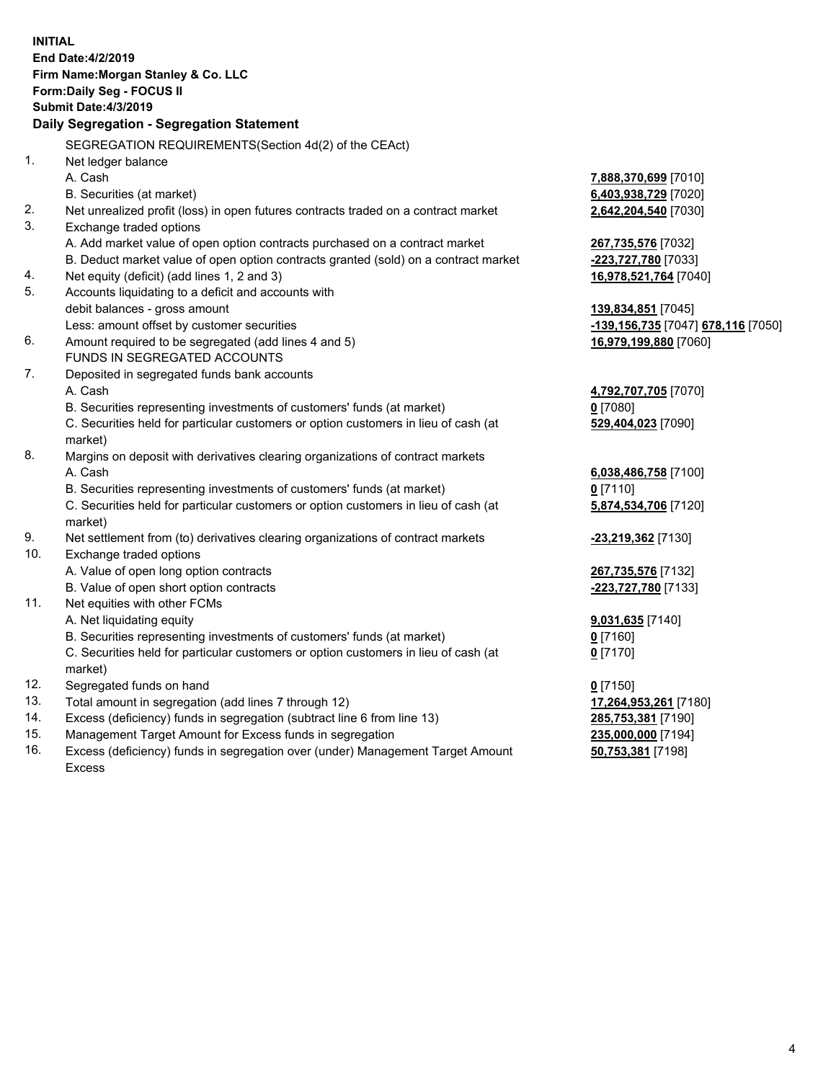|     | <b>INITIAL</b><br>End Date: 4/2/2019<br>Firm Name: Morgan Stanley & Co. LLC<br>Form: Daily Seg - FOCUS II |                                    |
|-----|-----------------------------------------------------------------------------------------------------------|------------------------------------|
|     | <b>Submit Date: 4/3/2019</b>                                                                              |                                    |
|     | Daily Segregation - Segregation Statement                                                                 |                                    |
|     | SEGREGATION REQUIREMENTS(Section 4d(2) of the CEAct)                                                      |                                    |
| 1.  | Net ledger balance                                                                                        |                                    |
|     | A. Cash                                                                                                   | 7,888,370,699 [7010]               |
|     | B. Securities (at market)                                                                                 | 6,403,938,729 [7020]               |
| 2.  | Net unrealized profit (loss) in open futures contracts traded on a contract market                        | 2,642,204,540 [7030]               |
| 3.  | Exchange traded options                                                                                   |                                    |
|     | A. Add market value of open option contracts purchased on a contract market                               | 267,735,576 [7032]                 |
|     | B. Deduct market value of open option contracts granted (sold) on a contract market                       | -223,727,780 [7033]                |
| 4.  | Net equity (deficit) (add lines 1, 2 and 3)                                                               | 16,978,521,764 [7040]              |
| 5.  | Accounts liquidating to a deficit and accounts with                                                       |                                    |
|     | debit balances - gross amount                                                                             | 139,834,851 [7045]                 |
|     | Less: amount offset by customer securities                                                                | -139,156,735 [7047] 678,116 [7050] |
| 6.  | Amount required to be segregated (add lines 4 and 5)                                                      | 16,979,199,880 [7060]              |
|     | FUNDS IN SEGREGATED ACCOUNTS                                                                              |                                    |
| 7.  | Deposited in segregated funds bank accounts                                                               |                                    |
|     | A. Cash                                                                                                   | 4,792,707,705 [7070]               |
|     | B. Securities representing investments of customers' funds (at market)                                    | $0$ [7080]                         |
|     | C. Securities held for particular customers or option customers in lieu of cash (at                       | 529,404,023 [7090]                 |
|     | market)                                                                                                   |                                    |
| 8.  | Margins on deposit with derivatives clearing organizations of contract markets                            |                                    |
|     | A. Cash                                                                                                   | 6,038,486,758 [7100]               |
|     | B. Securities representing investments of customers' funds (at market)                                    | $0$ [7110]                         |
|     | C. Securities held for particular customers or option customers in lieu of cash (at<br>market)            | 5,874,534,706 [7120]               |
| 9.  | Net settlement from (to) derivatives clearing organizations of contract markets                           | -23,219,362 [7130]                 |
| 10. | Exchange traded options                                                                                   |                                    |
|     | A. Value of open long option contracts                                                                    | 267,735,576 [7132]                 |
|     | B. Value of open short option contracts                                                                   | -223,727,780 [7133]                |
| 11. | Net equities with other FCMs                                                                              |                                    |
|     | A. Net liquidating equity                                                                                 | 9,031,635 [7140]                   |
|     | B. Securities representing investments of customers' funds (at market)                                    | $0$ [7160]                         |
|     | C. Securities held for particular customers or option customers in lieu of cash (at                       | $0$ [7170]                         |
|     | market)                                                                                                   |                                    |
| 12. | Segregated funds on hand                                                                                  | $0$ [7150]                         |
| 13. | Total amount in segregation (add lines 7 through 12)                                                      | 17,264,953,261 [7180]              |
| 14. | Excess (deficiency) funds in segregation (subtract line 6 from line 13)                                   | 285,753,381 [7190]                 |
| 15. | Management Target Amount for Excess funds in segregation                                                  | 235,000,000 [7194]                 |
| 16. | Excess (deficiency) funds in segregation over (under) Management Target Amount                            | 50,753,381 [7198]                  |

16. Excess (deficiency) funds in segregation over (under) Management Target Amount Excess